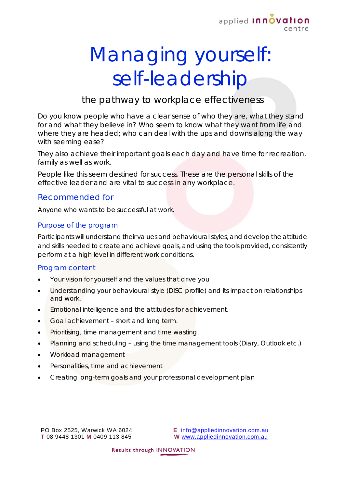

# Managing yourself: self-leadership

## the pathway to workplace effectiveness

Do you know people who have a clear sense of who they are, what they stand for and what they believe in? Who seem to know what they want from life and where they are headed; who can deal with the ups and downs along the way with seeming ease?

They also achieve their important goals each day and have time for recreation, family as well as work.

People like this seem destined for success. These are the personal skills of the effective leader and are vital to success in any workplace.

#### Recommended for

Anyone who wants to be successful at work.

#### Purpose of the program

Participants will understand their values and behavioural styles, and develop the attitude and skills needed to create and achieve goals, and using the tools provided, consistently perform at a high level in different work conditions.

#### Program content

- Your vision for yourself and the values that drive you
- Understanding your behavioural style (DISC profile) and its impact on relationships and work.
- Emotional intelligence and the attitudes for achievement.
- Goal achievement short and long term.
- Prioritising, time management and time wasting.
- Planning and scheduling using the time management tools (Diary, Outlook etc.)
- Workload management
- Personalities, time and achievement
- Creating long-term goals and your professional development plan

PO Box 2525, Warwick WA 6024 **T** 08 9448 1301 **M** 0409 113 845

**E** [info@appliedinnovation.com.au](mailto:info@appliedinnovation.com.au) **W** [www.appliedinnovation.com.au](http://www.appliedinnovation.com.au/)

Results through INNOVATION